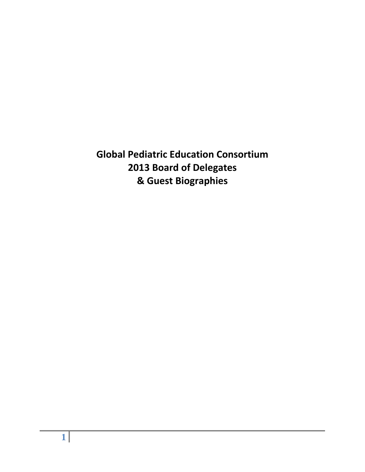**Global Pediatric Education Consortium 2013 Board of Delegates & Guest Biographies**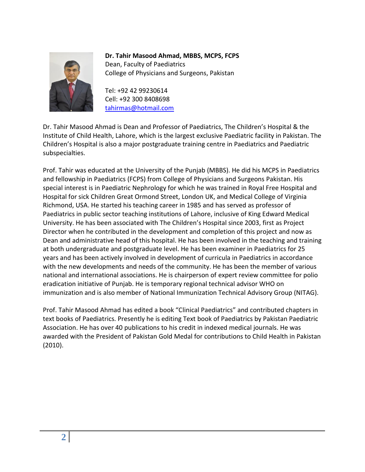

**Dr. Tahir Masood Ahmad, MBBS, MCPS, FCPS** Dean, Faculty of Paediatrics College of Physicians and Surgeons, Pakistan

Tel: +92 42 99230614 Cell: +92 300 8408698 [tahirmas@hotmail.com](mailto:tahirmas@hotmail.com)

Dr. Tahir Masood Ahmad is Dean and Professor of Paediatrics, The Children's Hospital & the Institute of Child Health, Lahore, which is the largest exclusive Paediatric facility in Pakistan. The Children's Hospital is also a major postgraduate training centre in Paediatrics and Paediatric subspecialties.

Prof. Tahir was educated at the University of the Punjab (MBBS). He did his MCPS in Paediatrics and fellowship in Paediatrics (FCPS) from College of Physicians and Surgeons Pakistan. His special interest is in Paediatric Nephrology for which he was trained in Royal Free Hospital and Hospital for sick Children Great Ormond Street, London UK, and Medical College of Virginia Richmond, USA. He started his teaching career in 1985 and has served as professor of Paediatrics in public sector teaching institutions of Lahore, inclusive of King Edward Medical University. He has been associated with The Children's Hospital since 2003, first as Project Director when he contributed in the development and completion of this project and now as Dean and administrative head of this hospital. He has been involved in the teaching and training at both undergraduate and postgraduate level. He has been examiner in Paediatrics for 25 years and has been actively involved in development of curricula in Paediatrics in accordance with the new developments and needs of the community. He has been the member of various national and international associations. He is chairperson of expert review committee for polio eradication initiative of Punjab. He is temporary regional technical advisor WHO on immunization and is also member of National Immunization Technical Advisory Group (NITAG).

Prof. Tahir Masood Ahmad has edited a book "Clinical Paediatrics" and contributed chapters in text books of Paediatrics. Presently he is editing Text book of Paediatrics by Pakistan Paediatric Association. He has over 40 publications to his credit in indexed medical journals. He was awarded with the President of Pakistan Gold Medal for contributions to Child Health in Pakistan (2010).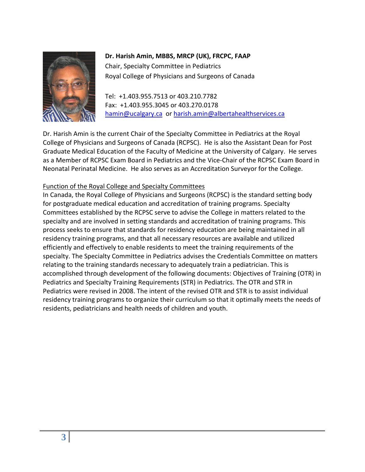

# **Dr. Harish Amin, MBBS, MRCP (UK), FRCPC, FAAP**

Chair, Specialty Committee in Pediatrics Royal College of Physicians and Surgeons of Canada

Tel: +1.403.955.7513 or 403.210.7782 Fax: +1.403.955.3045 or 403.270.0178 [hamin@ucalgary.ca](mailto:hamin@ucalgary.ca) or [harish.amin@albertahealthservices.ca](mailto:harish.amin@albertahealthservices.ca)

Dr. Harish Amin is the current Chair of the Specialty Committee in Pediatrics at the Royal College of Physicians and Surgeons of Canada (RCPSC). He is also the Assistant Dean for Post Graduate Medical Education of the Faculty of Medicine at the University of Calgary. He serves as a Member of RCPSC Exam Board in Pediatrics and the Vice-Chair of the RCPSC Exam Board in Neonatal Perinatal Medicine. He also serves as an Accreditation Surveyor for the College.

## Function of the Royal College and Specialty Committees

In Canada, the Royal College of Physicians and Surgeons (RCPSC) is the standard setting body for postgraduate medical education and accreditation of training programs. Specialty Committees established by the RCPSC serve to advise the College in matters related to the specialty and are involved in setting standards and accreditation of training programs. This process seeks to ensure that standards for residency education are being maintained in all residency training programs, and that all necessary resources are available and utilized efficiently and effectively to enable residents to meet the training requirements of the specialty. The Specialty Committee in Pediatrics advises the Credentials Committee on matters relating to the training standards necessary to adequately train a pediatrician. This is accomplished through development of the following documents: Objectives of Training (OTR) in Pediatrics and Specialty Training Requirements (STR) in Pediatrics. The OTR and STR in Pediatrics were revised in 2008. The intent of the revised OTR and STR is to assist individual residency training programs to organize their curriculum so that it optimally meets the needs of residents, pediatricians and health needs of children and youth.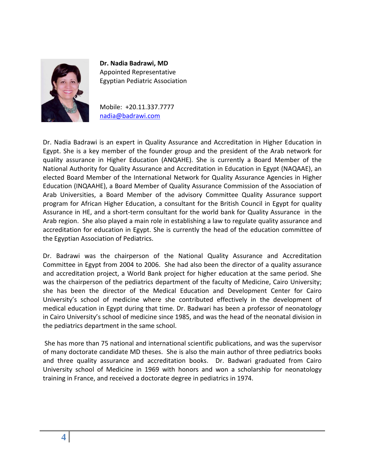

**Dr. Nadia Badrawi, MD** Appointed Representative Egyptian Pediatric Association

Mobile: +20.11.337.7777 [nadia@badrawi.com](mailto:nadia@badrawi.com)

Dr. Nadia Badrawi is an expert in Quality Assurance and Accreditation in Higher Education in Egypt. She is a key member of the founder group and the president of the Arab network for quality assurance in Higher Education (ANQAHE). She is currently a Board Member of the National Authority for Quality Assurance and Accreditation in Education in Egypt (NAQAAE), an elected Board Member of the International Network for Quality Assurance Agencies in Higher Education (INQAAHE), a Board Member of Quality Assurance Commission of the Association of Arab Universities, a Board Member of the advisory Committee Quality Assurance support program for African Higher Education, a consultant for the British Council in Egypt for quality Assurance in HE, and a short-term consultant for the world bank for Quality Assurance in the Arab region. She also played a main role in establishing a law to regulate quality assurance and accreditation for education in Egypt. She is currently the head of the education committee of the Egyptian Association of Pediatrics.

Dr. Badrawi was the chairperson of the National Quality Assurance and Accreditation Committee in Egypt from 2004 to 2006. She had also been the director of a quality assurance and accreditation project, a World Bank project for higher education at the same period. She was the chairperson of the pediatrics department of the faculty of Medicine, Cairo University; she has been the director of the Medical Education and Development Center for Cairo University's school of medicine where she contributed effectively in the development of medical education in Egypt during that time. Dr. Badwari has been a professor of neonatology in Cairo University's school of medicine since 1985, and was the head of the neonatal division in the pediatrics department in the same school.

She has more than 75 national and international scientific publications, and was the supervisor of many doctorate candidate MD theses. She is also the main author of three pediatrics books and three quality assurance and accreditation books. Dr. Badwari graduated from Cairo University school of Medicine in 1969 with honors and won a scholarship for neonatology training in France, and received a doctorate degree in pediatrics in 1974.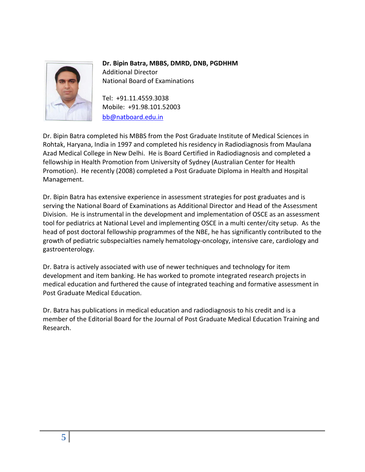

**Dr. Bipin Batra, MBBS, DMRD, DNB, PGDHHM** Additional Director National Board of Examinations

Tel: +91.11.4559.3038 Mobile: +91.98.101.52003 [bb@natboard.edu.in](mailto:bb@natboard.edu.in)

Dr. Bipin Batra completed his MBBS from the Post Graduate Institute of Medical Sciences in Rohtak, Haryana, India in 1997 and completed his residency in Radiodiagnosis from Maulana Azad Medical College in New Delhi. He is Board Certified in Radiodiagnosis and completed a fellowship in Health Promotion from University of Sydney (Australian Center for Health Promotion). He recently (2008) completed a Post Graduate Diploma in Health and Hospital Management.

Dr. Bipin Batra has extensive experience in assessment strategies for post graduates and is serving the National Board of Examinations as Additional Director and Head of the Assessment Division. He is instrumental in the development and implementation of OSCE as an assessment tool for pediatrics at National Level and implementing OSCE in a multi center/city setup. As the head of post doctoral fellowship programmes of the NBE, he has significantly contributed to the growth of pediatric subspecialties namely hematology-oncology, intensive care, cardiology and gastroenterology.

Dr. Batra is actively associated with use of newer techniques and technology for item development and item banking. He has worked to promote integrated research projects in medical education and furthered the cause of integrated teaching and formative assessment in Post Graduate Medical Education.

Dr. Batra has publications in medical education and radiodiagnosis to his credit and is a member of the Editorial Board for the Journal of Post Graduate Medical Education Training and Research.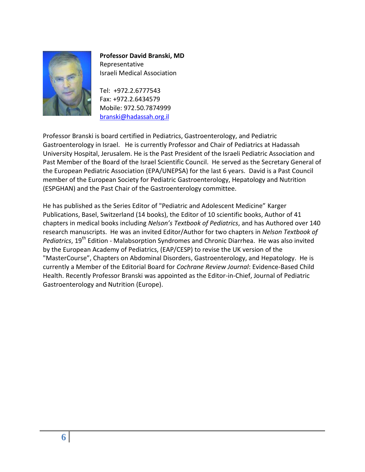

**Professor David Branski, MD** Representative Israeli Medical Association

Tel: +972.2.6777543 Fax: +972.2.6434579 Mobile: 972.50.7874999 [branski@hadassah.org.il](mailto:branski@hadassah.org.il)

Professor Branski is board certified in Pediatrics, Gastroenterology, and Pediatric Gastroenterology in Israel. He is currently Professor and Chair of Pediatrics at Hadassah University Hospital, Jerusalem. He is the Past President of the Israeli Pediatric Association and Past Member of the Board of the Israel Scientific Council. He served as the Secretary General of the European Pediatric Association (EPA/UNEPSA) for the last 6 years. David is a Past Council member of the European Society for Pediatric Gastroenterology, Hepatology and Nutrition (ESPGHAN) and the Past Chair of the Gastroenterology committee.

He has published as the Series Editor of "Pediatric and Adolescent Medicine" Karger Publications, Basel, Switzerland (14 books), the Editor of 10 scientific books, Author of 41 chapters in medical books including *Nelson's Textbook of Pediatrics*, and has Authored over 140 research manuscripts. He was an invited Editor/Author for two chapters in *Nelson Textbook of*  Pediatrics, 19<sup>th</sup> Edition - Malabsorption Syndromes and Chronic Diarrhea. He was also invited by the European Academy of Pediatrics, (EAP/CESP) to revise the UK version of the "MasterCourse", Chapters on Abdominal Disorders, Gastroenterology, and Hepatology. He is currently a Member of the Editorial Board for *Cochrane Review Journal*: Evidence-Based Child Health. Recently Professor Branski was appointed as the Editor-in-Chief, Journal of Pediatric Gastroenterology and Nutrition (Europe).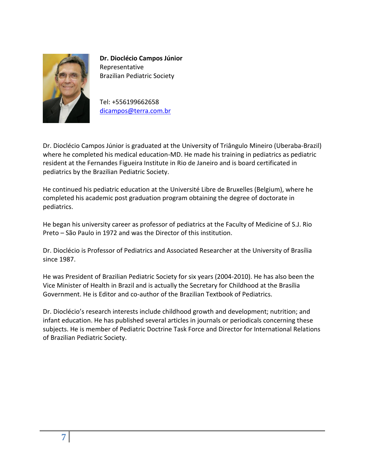

**Dr. Dioclécio Campos Júnior** Representative Brazilian Pediatric Society

Tel: +556199662658 [dicampos@terra.com.br](mailto:dicampos@terra.com.br)

Dr. Dioclécio Campos Júnior is graduated at the University of Triângulo Mineiro (Uberaba-Brazil) where he completed his medical education-MD. He made his training in pediatrics as pediatric resident at the Fernandes Figueira Institute in Rio de Janeiro and is board certificated in pediatrics by the Brazilian Pediatric Society.

He continued his pediatric education at the Université Libre de Bruxelles (Belgium), where he completed his academic post graduation program obtaining the degree of doctorate in pediatrics.

He began his university career as professor of pediatrics at the Faculty of Medicine of S.J. Rio Preto – São Paulo in 1972 and was the Director of this institution.

Dr. Dioclécio is Professor of Pediatrics and Associated Researcher at the University of Brasília since 1987.

He was President of Brazilian Pediatric Society for six years (2004-2010). He has also been the Vice Minister of Health in Brazil and is actually the Secretary for Childhood at the Brasília Government. He is Editor and co-author of the Brazilian Textbook of Pediatrics.

Dr. Dioclécio's research interests include childhood growth and development; nutrition; and infant education. He has published several articles in journals or periodicals concerning these subjects. He is member of Pediatric Doctrine Task Force and Director for International Relations of Brazilian Pediatric Society.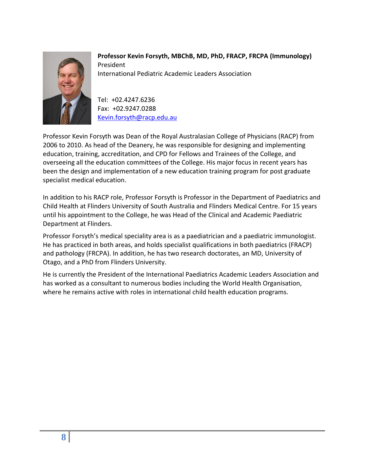

**Professor Kevin Forsyth, MBChB, MD, PhD, FRACP, FRCPA (Immunology)** President International Pediatric Academic Leaders Association

Tel: +02.4247.6236 Fax: +02.9247.0288 [Kevin.forsyth@racp.edu.au](mailto:Kevin.forsyth@racp.edu.au)

Professor Kevin Forsyth was Dean of the Royal Australasian College of Physicians (RACP) from 2006 to 2010. As head of the Deanery, he was responsible for designing and implementing education, training, accreditation, and CPD for Fellows and Trainees of the College, and overseeing all the education committees of the College. His major focus in recent years has been the design and implementation of a new education training program for post graduate specialist medical education.

In addition to his RACP role, Professor Forsyth is Professor in the Department of Paediatrics and Child Health at Flinders University of South Australia and Flinders Medical Centre. For 15 years until his appointment to the College, he was Head of the Clinical and Academic Paediatric Department at Flinders.

Professor Forsyth's medical speciality area is as a paediatrician and a paediatric immunologist. He has practiced in both areas, and holds specialist qualifications in both paediatrics (FRACP) and pathology (FRCPA). In addition, he has two research doctorates, an MD, University of Otago, and a PhD from Flinders University.

He is currently the President of the International Paediatrics Academic Leaders Association and has worked as a consultant to numerous bodies including the World Health Organisation, where he remains active with roles in international child health education programs.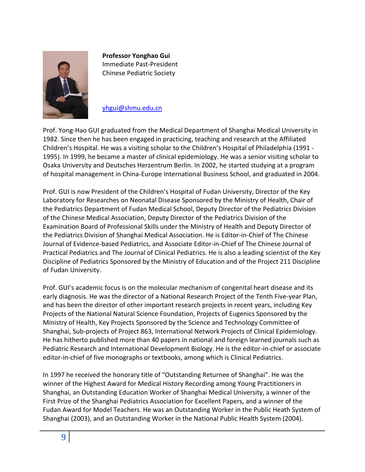

**Professor Yonghao Gui** Immediate Past-President Chinese Pediatric Society

[yhgui@shmu.edu.cn](mailto:yhgui@shmu.edu.cn)

Prof. Yong-Hao GUI graduated from the Medical Department of Shanghai Medical University in 1982. Since then he has been engaged in practicing, teaching and research at the Affiliated Children's Hospital. He was a visiting scholar to the Children's Hospital of Philadelphia (1991 - 1995). In 1999, he became a master of clinical epidemiology. He was a senior visiting scholar to Osaka University and Deutsches Herzentrum Berlin. In 2002, he started studying at a program of hospital management in China-Europe International Business School, and graduated in 2004.

Prof. GUI is now President of the Children's Hospital of Fudan University, Director of the Key Laboratory for Researches on Neonatal Disease Sponsored by the Ministry of Health, Chair of the Pediatrics Department of Fudan Medical School, Deputy Director of the Pediatrics Division of the Chinese Medical Association, Deputy Director of the Pediatrics Division of the Examination Board of Professional Skills under the Ministry of Health and Deputy Director of the Pediatrics Division of Shanghai Medical Association. He is Editor-in-Chief of The Chinese Journal of Evidence-based Pediatrics, and Associate Editor-in-Chief of The Chinese Journal of Practical Pediatrics and The Journal of Clinical Pediatrics. He is also a leading scientist of the Key Discipline of Pediatrics Sponsored by the Ministry of Education and of the Project 211 Discipline of Fudan University.

Prof. GUI's academic focus is on the molecular mechanism of congenital heart disease and its early diagnosis. He was the director of a National Research Project of the Tenth Five-year Plan, and has been the director of other important research projects in recent years, including Key Projects of the National Natural Science Foundation, Projects of Eugenics Sponsored by the Ministry of Health, Key Projects Sponsored by the Science and Technology Committee of Shanghai, Sub-projects of Project 863, International Network Projects of Clinical Epidemiology. He has hitherto published more than 40 papers in national and foreign learned journals such as Pediatric Research and International Development Biology. He is the editor-in-chief or associate editor-in-chief of five monographs or textbooks, among which is Clinical Pediatrics.

In 1997 he received the honorary title of "Outstanding Returnee of Shanghai". He was the winner of the Highest Award for Medical History Recording among Young Practitioners in Shanghai, an Outstanding Education Worker of Shanghai Medical University, a winner of the First Prize of the Shanghai Pediatrics Association for Excellent Papers, and a winner of the Fudan Award for Model Teachers. He was an Outstanding Worker in the Public Heath System of Shanghai (2003), and an Outstanding Worker in the National Public Health System (2004).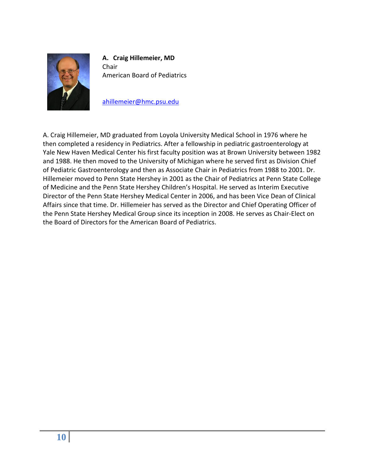

**A. Craig Hillemeier, MD** Chair American Board of Pediatrics

[ahillemeier@hmc.psu.edu](mailto:ahillemeier@hmc.psu.edu)

A. Craig Hillemeier, MD graduated from Loyola University Medical School in 1976 where he then completed a residency in Pediatrics. After a fellowship in pediatric gastroenterology at Yale New Haven Medical Center his first faculty position was at Brown University between 1982 and 1988. He then moved to the University of Michigan where he served first as Division Chief of Pediatric Gastroenterology and then as Associate Chair in Pediatrics from 1988 to 2001. Dr. Hillemeier moved to Penn State Hershey in 2001 as the Chair of Pediatrics at Penn State College of Medicine and the Penn State Hershey Children's Hospital. He served as Interim Executive Director of the Penn State Hershey Medical Center in 2006, and has been Vice Dean of Clinical Affairs since that time. Dr. Hillemeier has served as the Director and Chief Operating Officer of the Penn State Hershey Medical Group since its inception in 2008. He serves as Chair-Elect on the Board of Directors for the American Board of Pediatrics.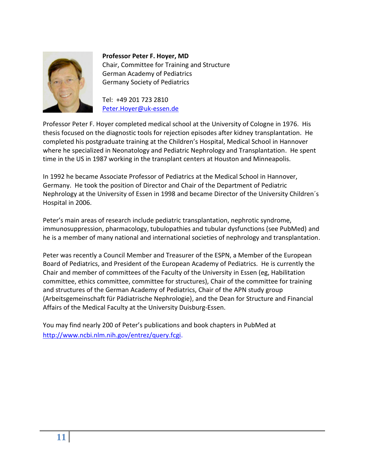

**Professor Peter F. Hoyer, MD** Chair, Committee for Training and Structure German Academy of Pediatrics Germany Society of Pediatrics

Tel: +49 201 723 2810 [Peter.Hoyer@uk-essen.de](mailto:Peter.Hoyer@uk-essen.de)

Professor Peter F. Hoyer completed medical school at the University of Cologne in 1976. His thesis focused on the diagnostic tools for rejection episodes after kidney transplantation. He completed his postgraduate training at the Children's Hospital, Medical School in Hannover where he specialized in Neonatology and Pediatric Nephrology and Transplantation. He spent time in the US in 1987 working in the transplant centers at Houston and Minneapolis.

In 1992 he became Associate Professor of Pediatrics at the Medical School in Hannover, Germany. He took the position of Director and Chair of the Department of Pediatric Nephrology at the University of Essen in 1998 and became Director of the University Children´s Hospital in 2006.

Peter's main areas of research include pediatric transplantation, nephrotic syndrome, immunosuppression, pharmacology, tubulopathies and tubular dysfunctions (see PubMed) and he is a member of many national and international societies of nephrology and transplantation.

Peter was recently a Council Member and Treasurer of the ESPN, a Member of the European Board of Pediatrics, and President of the European Academy of Pediatrics. He is currently the Chair and member of committees of the Faculty of the University in Essen (eg, Habilitation committee, ethics committee, committee for structures), Chair of the committee for training and structures of the German Academy of Pediatrics, Chair of the APN study group (Arbeitsgemeinschaft für Pädiatrische Nephrologie), and the Dean for Structure and Financial Affairs of the Medical Faculty at the University Duisburg-Essen.

You may find nearly 200 of Peter's publications and book chapters in PubMed at [http://www.ncbi.nlm.nih.gov/entrez/query.fcgi.](http://www.ncbi.nlm.nih.gov/entrez/query.fcgi)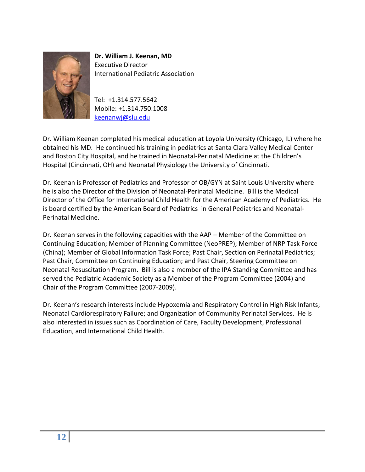

**Dr. William J. Keenan, MD** Executive Director International Pediatric Association

Tel: +1.314.577.5642 Mobile: +1.314.750.1008 [keenanwj@slu.edu](mailto:keenanwj@slu.edu)

Dr. William Keenan completed his medical education at Loyola University (Chicago, IL) where he obtained his MD. He continued his training in pediatrics at Santa Clara Valley Medical Center and Boston City Hospital, and he trained in Neonatal-Perinatal Medicine at the Children's Hospital (Cincinnati, OH) and Neonatal Physiology the University of Cincinnati.

Dr. Keenan is Professor of Pediatrics and Professor of OB/GYN at Saint Louis University where he is also the Director of the Division of Neonatal-Perinatal Medicine. Bill is the Medical Director of the Office for International Child Health for the American Academy of Pediatrics. He is board certified by the American Board of Pediatrics in General Pediatrics and Neonatal-Perinatal Medicine.

Dr. Keenan serves in the following capacities with the AAP – Member of the Committee on Continuing Education; Member of Planning Committee (NeoPREP); Member of NRP Task Force (China); Member of Global Information Task Force; Past Chair, Section on Perinatal Pediatrics; Past Chair, Committee on Continuing Education; and Past Chair, Steering Committee on Neonatal Resuscitation Program. Bill is also a member of the IPA Standing Committee and has served the Pediatric Academic Society as a Member of the Program Committee (2004) and Chair of the Program Committee (2007-2009).

Dr. Keenan's research interests include Hypoxemia and Respiratory Control in High Risk Infants; Neonatal Cardiorespiratory Failure; and Organization of Community Perinatal Services. He is also interested in issues such as Coordination of Care, Faculty Development, Professional Education, and International Child Health.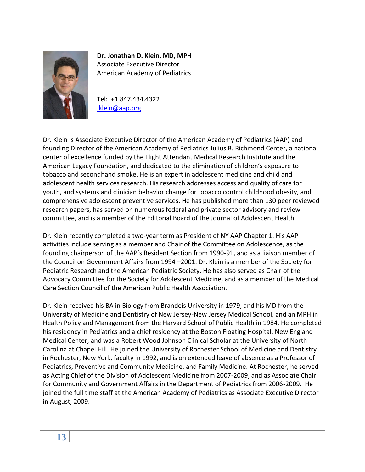

**Dr. Jonathan D. Klein, MD, MPH** Associate Executive Director American Academy of Pediatrics

Tel: +1.847.434.4322 [jklein@aap.org](mailto:jklein@aap.org)

Dr. Klein is Associate Executive Director of the American Academy of Pediatrics (AAP) and founding Director of the American Academy of Pediatrics Julius B. Richmond Center, a national center of excellence funded by the Flight Attendant Medical Research Institute and the American Legacy Foundation, and dedicated to the elimination of children's exposure to tobacco and secondhand smoke. He is an expert in adolescent medicine and child and adolescent health services research. His research addresses access and quality of care for youth, and systems and clinician behavior change for tobacco control childhood obesity, and comprehensive adolescent preventive services. He has published more than 130 peer reviewed research papers, has served on numerous federal and private sector advisory and review committee, and is a member of the Editorial Board of the Journal of Adolescent Health.

Dr. Klein recently completed a two-year term as President of NY AAP Chapter 1. His AAP activities include serving as a member and Chair of the Committee on Adolescence, as the founding chairperson of the AAP's Resident Section from 1990-91, and as a liaison member of the Council on Government Affairs from 1994 –2001. Dr. Klein is a member of the Society for Pediatric Research and the American Pediatric Society. He has also served as Chair of the Advocacy Committee for the Society for Adolescent Medicine, and as a member of the Medical Care Section Council of the American Public Health Association.

Dr. Klein received his BA in Biology from Brandeis University in 1979, and his MD from the University of Medicine and Dentistry of New Jersey-New Jersey Medical School, and an MPH in Health Policy and Management from the Harvard School of Public Health in 1984. He completed his residency in Pediatrics and a chief residency at the Boston Floating Hospital, New England Medical Center, and was a Robert Wood Johnson Clinical Scholar at the University of North Carolina at Chapel Hill. He joined the University of Rochester School of Medicine and Dentistry in Rochester, New York, faculty in 1992, and is on extended leave of absence as a Professor of Pediatrics, Preventive and Community Medicine, and Family Medicine. At Rochester, he served as Acting Chief of the Division of Adolescent Medicine from 2007-2009, and as Associate Chair for Community and Government Affairs in the Department of Pediatrics from 2006-2009. He joined the full time staff at the American Academy of Pediatrics as Associate Executive Director in August, 2009.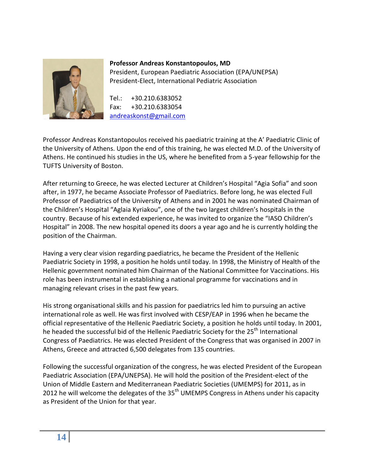

## **Professor Andreas Konstantopoulos, MD** President, European Paediatric Association (EPA/UNEPSA)

President-Elect, International Pediatric Association

Tel.: +30.210.6383052 Fax: +30.210.6383054 [andreaskonst@gmail.com](mailto:andreaskonst@gmail.com)

Professor Andreas Konstantopoulos received his paediatric training at the A' Paediatric Clinic of the University of Athens. Upon the end of this training, he was elected M.D. of the University of Athens. He continued his studies in the US, where he benefited from a 5-year fellowship for the TUFTS University of Boston.

After returning to Greece, he was elected Lecturer at Children's Hospital "Agia Sofia" and soon after, in 1977, he became Associate Professor of Paediatrics. Before long, he was elected Full Professor of Paediatrics of the University of Athens and in 2001 he was nominated Chairman of the Children's Hospital "Aglaia Kyriakou", one of the two largest children's hospitals in the country. Because of his extended experience, he was invited to organize the "IASO Children's Hospital" in 2008. The new hospital opened its doors a year ago and he is currently holding the position of the Chairman.

Having a very clear vision regarding paediatrics, he became the President of the Hellenic Paediatric Society in 1998, a position he holds until today. In 1998, the Ministry of Health of the Hellenic government nominated him Chairman of the National Committee for Vaccinations. His role has been instrumental in establishing a national programme for vaccinations and in managing relevant crises in the past few years.

His strong organisational skills and his passion for paediatrics led him to pursuing an active international role as well. He was first involved with CESP/EAP in 1996 when he became the official representative of the Hellenic Paediatric Society, a position he holds until today. In 2001, he headed the successful bid of the Hellenic Paediatric Society for the 25<sup>th</sup> International Congress of Paediatrics. He was elected President of the Congress that was organised in 2007 in Athens, Greece and attracted 6,500 delegates from 135 countries.

Following the successful organization of the congress, he was elected President of the European Paediatric Association (EPA/UNEPSA). He will hold the position of the President-elect of the Union of Middle Eastern and Mediterranean Paediatric Societies (UMEMPS) for 2011, as in 2012 he will welcome the delegates of the  $35<sup>th</sup>$  UMEMPS Congress in Athens under his capacity as President of the Union for that year.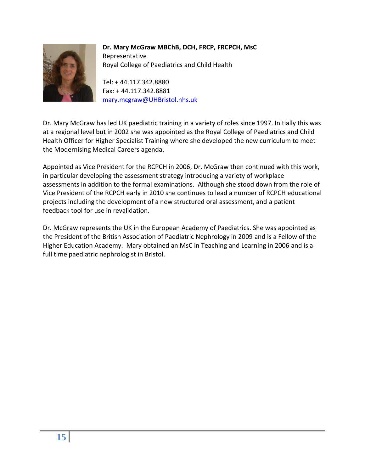

## **Dr. Mary McGraw MBChB, DCH, FRCP, FRCPCH, MsC** Representative Royal College of Paediatrics and Child Health

Tel: + 44.117.342.8880 Fax: + 44.117.342.8881 [mary.mcgraw@UHBristol.nhs.uk](mailto:mary.mcgraw@UHBristol.nhs.uk)

Dr. Mary McGraw has led UK paediatric training in a variety of roles since 1997. Initially this was at a regional level but in 2002 she was appointed as the Royal College of Paediatrics and Child Health Officer for Higher Specialist Training where she developed the new curriculum to meet the Modernising Medical Careers agenda.

Appointed as Vice President for the RCPCH in 2006, Dr. McGraw then continued with this work, in particular developing the assessment strategy introducing a variety of workplace assessments in addition to the formal examinations. Although she stood down from the role of Vice President of the RCPCH early in 2010 she continues to lead a number of RCPCH educational projects including the development of a new structured oral assessment, and a patient feedback tool for use in revalidation.

Dr. McGraw represents the UK in the European Academy of Paediatrics. She was appointed as the President of the British Association of Paediatric Nephrology in 2009 and is a Fellow of the Higher Education Academy. Mary obtained an MsC in Teaching and Learning in 2006 and is a full time paediatric nephrologist in Bristol.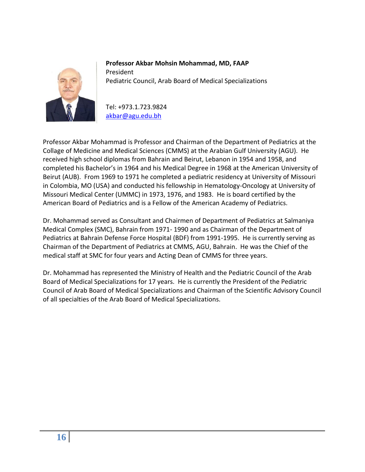

**Professor Akbar Mohsin Mohammad, MD, FAAP** President Pediatric Council, Arab Board of Medical Specializations

Tel: +973.1.723.9824 [akbar@agu.edu.bh](mailto:akbar@agu.edu.bh)

Professor Akbar Mohammad is Professor and Chairman of the Department of Pediatrics at the Collage of Medicine and Medical Sciences (CMMS) at the Arabian Gulf University (AGU). He received high school diplomas from Bahrain and Beirut, Lebanon in 1954 and 1958, and completed his Bachelor's in 1964 and his Medical Degree in 1968 at the American University of Beirut (AUB). From 1969 to 1971 he completed a pediatric residency at University of Missouri in Colombia, MO (USA) and conducted his fellowship in Hematology-Oncology at University of Missouri Medical Center (UMMC) in 1973, 1976, and 1983. He is board certified by the American Board of Pediatrics and is a Fellow of the American Academy of Pediatrics.

Dr. Mohammad served as Consultant and Chairmen of Department of Pediatrics at Salmaniya Medical Complex (SMC), Bahrain from 1971- 1990 and as Chairman of the Department of Pediatrics at Bahrain Defense Force Hospital (BDF) from 1991-1995. He is currently serving as Chairman of the Department of Pediatrics at CMMS, AGU, Bahrain. He was the Chief of the medical staff at SMC for four years and Acting Dean of CMMS for three years.

Dr. Mohammad has represented the Ministry of Health and the Pediatric Council of the Arab Board of Medical Specializations for 17 years. He is currently the President of the Pediatric Council of Arab Board of Medical Specializations and Chairman of the Scientific Advisory Council of all specialties of the Arab Board of Medical Specializations.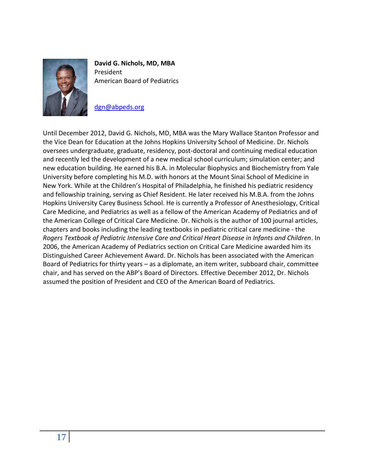

**David G. Nichols, MD, MBA** President American Board of Pediatrics

#### [dgn@abpeds.org](mailto:dgn@abpeds.org)

Until December 2012, David G. Nichols, MD, MBA was the Mary Wallace Stanton Professor and the Vice Dean for Education at the Johns Hopkins University School of Medicine. Dr. Nichols oversees undergraduate, graduate, residency, post-doctoral and continuing medical education and recently led the development of a new medical school curriculum; simulation center; and new education building. He earned his B.A. in Molecular Biophysics and Biochemistry from Yale University before completing his M.D. with honors at the Mount Sinai School of Medicine in New York. While at the Children's Hospital of Philadelphia, he finished his pediatric residency and fellowship training, serving as Chief Resident. He later received his M.B.A. from the Johns Hopkins University Carey Business School. He is currently a Professor of Anesthesiology, Critical Care Medicine, and Pediatrics as well as a fellow of the American Academy of Pediatrics and of the American College of Critical Care Medicine. Dr. Nichols is the author of 100 journal articles, chapters and books including the leading textbooks in pediatric critical care medicine - the *Rogers Textbook of Pediatric Intensive Care and Critical Heart Disease in Infants and Children*. In 2006, the American Academy of Pediatrics section on Critical Care Medicine awarded him its Distinguished Career Achievement Award. Dr. Nichols has been associated with the American Board of Pediatrics for thirty years – as a diplomate, an item writer, subboard chair, committee chair, and has served on the ABP's Board of Directors. Effective December 2012, Dr. Nichols assumed the position of President and CEO of the American Board of Pediatrics.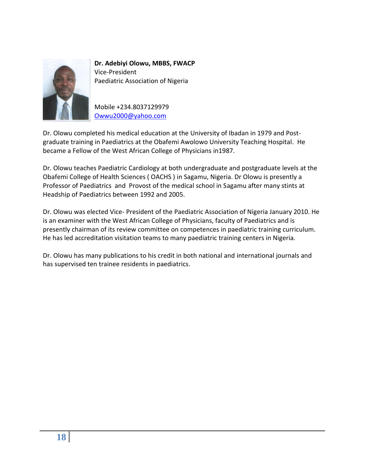

**Dr. Adebiyi Olowu, MBBS, FWACP** Vice-President Paediatric Association of Nigeria

Mobile +234.8037129979 [Owwu2000@yahoo.com](mailto:Owwu2000@yahoo.com)

Dr. Olowu completed his medical education at the University of Ibadan in 1979 and Postgraduate training in Paediatrics at the Obafemi Awolowo University Teaching Hospital. He became a Fellow of the West African College of Physicians in1987.

Dr. Olowu teaches Paediatric Cardiology at both undergraduate and postgraduate levels at the Obafemi College of Health Sciences ( OACHS ) in Sagamu, Nigeria. Dr Olowu is presently a Professor of Paediatrics and Provost of the medical school in Sagamu after many stints at Headship of Paediatrics between 1992 and 2005.

Dr. Olowu was elected Vice- President of the Paediatric Association of Nigeria January 2010. He is an examiner with the West African College of Physicians, faculty of Paediatrics and is presently chairman of its review committee on competences in paediatric training curriculum. He has led accreditation visitation teams to many paediatric training centers in Nigeria.

Dr. Olowu has many publications to his credit in both national and international journals and has supervised ten trainee residents in paediatrics.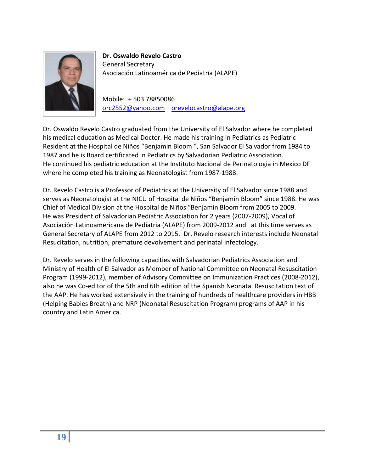

**Dr. Oswaldo Revelo Castro**  General Secretary Asociación Latinoamérica de Pediatría (ALAPE)

Mobile: + 503 78850086 [orc2552@yahoo.com](mailto:orc2552@yahoo.com) [orevelocastro@alape.org](mailto:orevelocastro@alape.org)

Dr. Oswaldo Revelo Castro graduated from the University of El Salvador where he completed his medical education as Medical Doctor. He made his training in Pediatrics as Pediatric Resident at the Hospital de Niños "Benjamin Bloom ", San Salvador El Salvador from 1984 to 1987 and he is Board certificated in Pediatrics by Salvadorian Pediatric Association. He continued his pediatric education at the Instituto Nacional de Perinatologia in Mexico DF where he completed his training as Neonatologist from 1987-1988.

Dr. Revelo Castro is a Professor of Pediatrics at the University of El Salvador since 1988 and serves as Neonatologist at the NICU of Hospital de Niños "Benjamin Bloom" since 1988. He was Chief of Medical Division at the Hospital de Niños "Benjamin Bloom from 2005 to 2009. He was President of Salvadorian Pediatric Association for 2 years (2007-2009), Vocal of Asociación Latinoamericana de Pediatria (ALAPE) from 2009-2012 and at this time serves as General Secretary of ALAPE from 2012 to 2015. Dr. Revelo research interests include Neonatal Resucitation, nutrition, premature devolvement and perinatal infectology.

Dr. Revelo serves in the following capacities with Salvadorian Pediatrics Association and Ministry of Health of El Salvador as Member of National Committee on Neonatal Resuscitation Program (1999-2012), member of Advisory Committee on Immunization Practices (2008-2012), also he was Co-editor of the 5th and 6th edition of the Spanish Neonatal Resuscitation text of the AAP. He has worked extensively in the training of hundreds of healthcare providers in HBB (Helping Babies Breath) and NRP (Neonatal Resuscitation Program) programs of AAP in his country and Latin America.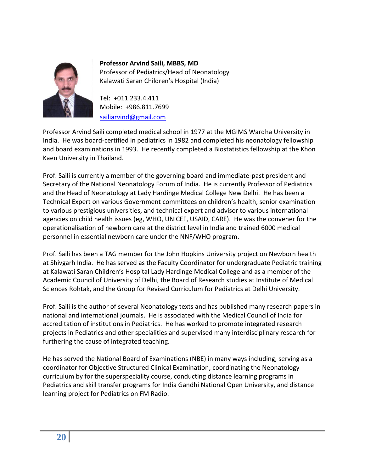

**Professor Arvind Saili, MBBS, MD** Professor of Pediatrics/Head of Neonatology Kalawati Saran Children's Hospital (India)

Tel: +011.233.4.411 Mobile: +986.811.7699 [sailiarvind@gmail.com](mailto:sailiarvind@gmail.com)

Professor Arvind Saili completed medical school in 1977 at the MGIMS Wardha University in India. He was board-certified in pediatrics in 1982 and completed his neonatology fellowship and board examinations in 1993. He recently completed a Biostatistics fellowship at the Khon Kaen University in Thailand.

Prof. Saili is currently a member of the governing board and immediate-past president and Secretary of the National Neonatology Forum of India. He is currently Professor of Pediatrics and the Head of Neonatology at Lady Hardinge Medical College New Delhi. He has been a Technical Expert on various Government committees on children's health, senior examination to various prestigious universities, and technical expert and advisor to various international agencies on child health issues (eg, WHO, UNICEF, USAID, CARE). He was the convener for the operationalisation of newborn care at the district level in India and trained 6000 medical personnel in essential newborn care under the NNF/WHO program.

Prof. Saili has been a TAG member for the John Hopkins University project on Newborn health at Shivgarh India. He has served as the Faculty Coordinator for undergraduate Pediatric training at Kalawati Saran Children's Hospital Lady Hardinge Medical College and as a member of the Academic Council of University of Delhi, the Board of Research studies at Institute of Medical Sciences Rohtak, and the Group for Revised Curriculum for Pediatrics at Delhi University.

Prof. Saili is the author of several Neonatology texts and has published many research papers in national and international journals. He is associated with the Medical Council of India for accreditation of institutions in Pediatrics. He has worked to promote integrated research projects in Pediatrics and other specialities and supervised many interdisciplinary research for furthering the cause of integrated teaching.

He has served the National Board of Examinations (NBE) in many ways including, serving as a coordinator for Objective Structured Clinical Examination, coordinating the Neonatology curriculum by for the superspeciality course, conducting distance learning programs in Pediatrics and skill transfer programs for India Gandhi National Open University, and distance learning project for Pediatrics on FM Radio.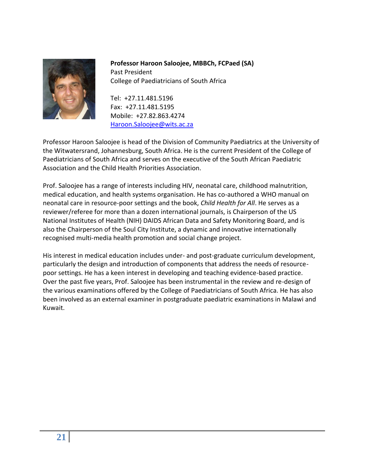

**Professor Haroon Saloojee, MBBCh, FCPaed (SA)** Past President College of Paediatricians of South Africa

Tel: +27.11.481.5196 Fax: +27.11.481.5195 Mobile: +27.82.863.4274 [Haroon.Saloojee@wits.ac.za](mailto:Haroon.Saloojee@wits.ac.za)

Professor Haroon Saloojee is head of the Division of Community Paediatrics at the University of the Witwatersrand, Johannesburg, South Africa. He is the current President of the College of Paediatricians of South Africa and serves on the executive of the South African Paediatric Association and the Child Health Priorities Association.

Prof. Saloojee has a range of interests including HIV, neonatal care, childhood malnutrition, medical education, and health systems organisation. He has co-authored a WHO manual on neonatal care in resource-poor settings and the book, *Child Health for All*. He serves as a reviewer/referee for more than a dozen international journals, is Chairperson of the US National Institutes of Health (NIH) DAIDS African Data and Safety Monitoring Board, and is also the Chairperson of the Soul City Institute, a dynamic and innovative internationally recognised multi-media health promotion and social change project.

His interest in medical education includes under- and post-graduate curriculum development, particularly the design and introduction of components that address the needs of resourcepoor settings. He has a keen interest in developing and teaching evidence-based practice. Over the past five years, Prof. Saloojee has been instrumental in the review and re-design of the various examinations offered by the College of Paediatricians of South Africa. He has also been involved as an external examiner in postgraduate paediatric examinations in Malawi and Kuwait.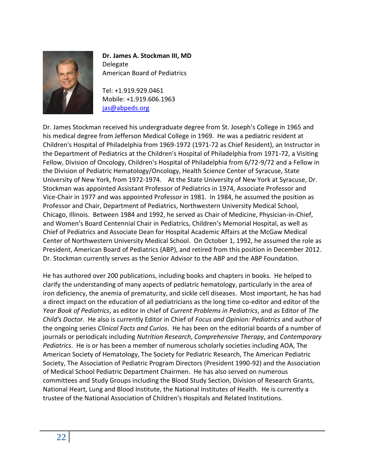

## **Dr. James A. Stockman III, MD** Delegate American Board of Pediatrics

Tel: +1.919.929.0461 Mobile: +1.919.606.1963 [jas@abpeds.org](mailto:jas@abpeds.org)

Dr. James Stockman received his undergraduate degree from St. Joseph's College in 1965 and his medical degree from Jefferson Medical College in 1969. He was a pediatric resident at Children's Hospital of Philadelphia from 1969-1972 (1971-72 as Chief Resident), an Instructor in the Department of Pediatrics at the Children's Hospital of Philadelphia from 1971-72, a Visiting Fellow, Division of Oncology, Children's Hospital of Philadelphia from 6/72-9/72 and a Fellow in the Division of Pediatric Hematology/Oncology, Health Science Center of Syracuse, State University of New York, from 1972-1974. At the State University of New York at Syracuse, Dr. Stockman was appointed Assistant Professor of Pediatrics in 1974, Associate Professor and Vice-Chair in 1977 and was appointed Professor in 1981. In 1984, he assumed the position as Professor and Chair, Department of Pediatrics, Northwestern University Medical School, Chicago, Illinois. Between 1984 and 1992, he served as Chair of Medicine, Physician-in-Chief, and Women's Board Centennial Chair in Pediatrics, Children's Memorial Hospital, as well as Chief of Pediatrics and Associate Dean for Hospital Academic Affairs at the McGaw Medical Center of Northwestern University Medical School. On October 1, 1992, he assumed the role as President, American Board of Pediatrics (ABP), and retired from this position in December 2012. Dr. Stockman currently serves as the Senior Advisor to the ABP and the ABP Foundation.

He has authored over 200 publications, including books and chapters in books. He helped to clarify the understanding of many aspects of pediatric hematology, particularly in the area of iron deficiency, the anemia of prematurity, and sickle cell diseases. Most important, he has had a direct impact on the education of all pediatricians as the long time co-editor and editor of the *Year Book of Pediatrics*, as editor in chief of *Current Problems in Pediatrics*, and as Editor of *The Child's Doctor*. He also is currently Editor in Chief of *Focus and Opinion: Pediatrics* and author of the ongoing series *Clinical Facts and Curios*. He has been on the editorial boards of a number of journals or periodicals including *Nutrition Research*, *Comprehensive Therapy*, and *Contemporary Pediatrics*. He is or has been a member of numerous scholarly societies including AOA, The American Society of Hematology, The Society for Pediatric Research, The American Pediatric Society, The Association of Pediatric Program Directors (President 1990-92) and the Association of Medical School Pediatric Department Chairmen. He has also served on numerous committees and Study Groups including the Blood Study Section, Division of Research Grants, National Heart, Lung and Blood Institute, the National Institutes of Health. He is currently a trustee of the National Association of Children's Hospitals and Related Institutions.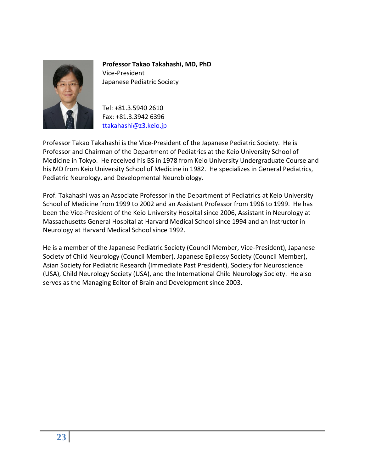

**Professor Takao Takahashi, MD, PhD** Vice-President Japanese Pediatric Society

Tel: +81.3.5940 2610 Fax: +81.3.3942 6396 [ttakahashi@z3.keio.jp](mailto:ttakahashi@z3.keio.jp)

Professor Takao Takahashi is the Vice-President of the Japanese Pediatric Society. He is Professor and Chairman of the Department of Pediatrics at the Keio University School of Medicine in Tokyo. He received his BS in 1978 from Keio University Undergraduate Course and his MD from Keio University School of Medicine in 1982. He specializes in General Pediatrics, Pediatric Neurology, and Developmental Neurobiology.

Prof. Takahashi was an Associate Professor in the Department of Pediatrics at Keio University School of Medicine from 1999 to 2002 and an Assistant Professor from 1996 to 1999. He has been the Vice-President of the Keio University Hospital since 2006, Assistant in Neurology at Massachusetts General Hospital at Harvard Medical School since 1994 and an Instructor in Neurology at Harvard Medical School since 1992.

He is a member of the Japanese Pediatric Society (Council Member, Vice-President), Japanese Society of Child Neurology (Council Member), Japanese Epilepsy Society (Council Member), Asian Society for Pediatric Research (Immediate Past President), Society for Neuroscience (USA), Child Neurology Society (USA), and the International Child Neurology Society. He also serves as the Managing Editor of Brain and Development since 2003.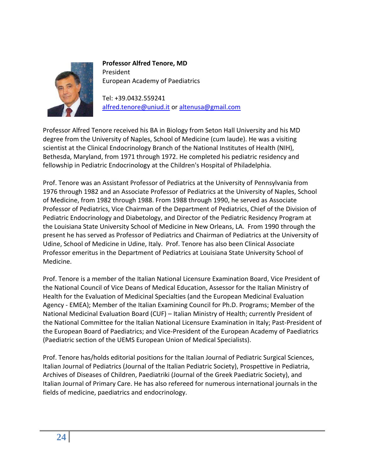

**Professor Alfred Tenore, MD** President European Academy of Paediatrics

Tel: +39.0432.559241 [alfred.tenore@uniud.it](mailto:alfred.tenore@uniud.it) or [altenusa@gmail.com](mailto:altenusa@gmail.com)

Professor Alfred Tenore received his BA in Biology from Seton Hall University and his MD degree from the University of Naples, School of Medicine (cum laude). He was a visiting scientist at the Clinical Endocrinology Branch of the National Institutes of Health (NIH), Bethesda, Maryland, from 1971 through 1972. He completed his pediatric residency and fellowship in Pediatric Endocrinology at the Children's Hospital of Philadelphia.

Prof. Tenore was an Assistant Professor of Pediatrics at the University of Pennsylvania from 1976 through 1982 and an Associate Professor of Pediatrics at the University of Naples, School of Medicine, from 1982 through 1988. From 1988 through 1990, he served as Associate Professor of Pediatrics, Vice Chairman of the Department of Pediatrics, Chief of the Division of Pediatric Endocrinology and Diabetology, and Director of the Pediatric Residency Program at the Louisiana State University School of Medicine in New Orleans, LA. From 1990 through the present he has served as Professor of Pediatrics and Chairman of Pediatrics at the University of Udine, School of Medicine in Udine, Italy. Prof. Tenore has also been Clinical Associate Professor emeritus in the Department of Pediatrics at Louisiana State University School of Medicine.

Prof. Tenore is a member of the Italian National Licensure Examination Board, Vice President of the National Council of Vice Deans of Medical Education, Assessor for the Italian Ministry of Health for the Evaluation of Medicinal Specialties (and the European Medicinal Evaluation Agency - EMEA); Member of the Italian Examining Council for Ph.D. Programs; Member of the National Medicinal Evaluation Board (CUF) – Italian Ministry of Health; currently President of the National Committee for the Italian National Licensure Examination in Italy; Past-President of the European Board of Paediatrics; and Vice-President of the European Academy of Paediatrics (Paediatric section of the UEMS European Union of Medical Specialists).

Prof. Tenore has/holds editorial positions for the Italian Journal of Pediatric Surgical Sciences, Italian Journal of Pediatrics (Journal of the Italian Pediatric Society), Prospettive in Pediatria, Archives of Diseases of Children, Paediatriki (Journal of the Greek Paediatric Society), and Italian Journal of Primary Care. He has also refereed for numerous international journals in the fields of medicine, paediatrics and endocrinology.